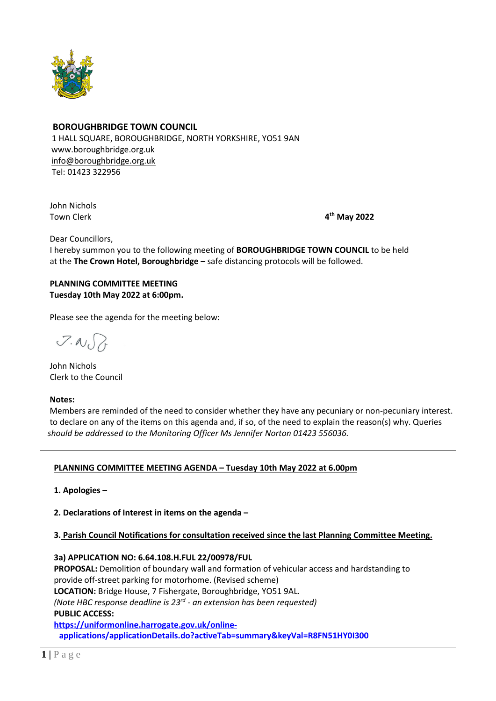

### **BOROUGHBRIDGE TOWN COUNCIL**

 1 HALL SQUARE, BOROUGHBRIDGE, NORTH YORKSHIRE, YO51 9AN [www.boroughbridge.org.uk](http://www.boroughbridge.org.uk/) [info@boroughbridge.org.uk](mailto:info@boroughbridge.org.uk) Tel: 01423 322956

 John Nichols Town Clerk **4**

**th May 2022**

Dear Councillors,

 I hereby summon you to the following meeting of **BOROUGHBRIDGE TOWN COUNCIL** to be held at the **The Crown Hotel, Boroughbridge** – safe distancing protocols will be followed.

#### **PLANNING COMMITTEE MEETING Tuesday 10th May 2022 at 6:00pm.**

Please see the agenda for the meeting below:

 $7.007$ 

 John Nichols Clerk to the Council

#### **Notes:**

 Members are reminded of the need to consider whether they have any pecuniary or non-pecuniary interest. to declare on any of the items on this agenda and, if so, of the need to explain the reason(s) why. Queries  *should be addressed to the Monitoring Officer Ms Jennifer Norton 01423 556036.* 

### **PLANNING COMMITTEE MEETING AGENDA – Tuesday 10th May 2022 at 6.00pm**

 **1. Apologies** –

 **2. Declarations of Interest in items on the agenda –**

### **3. Parish Council Notifications for consultation received since the last Planning Committee Meeting.**

 **3a) APPLICATION NO: 6.64.108.H.FUL 22/00978/FUL PROPOSAL:** Demolition of boundary wall and formation of vehicular access and hardstanding to provide off-street parking for motorhome. (Revised scheme)  **LOCATION:** Bridge House, 7 Fishergate, Boroughbridge, YO51 9AL. *(Note HBC response deadline is 23rd - an extension has been requested)*   **PUBLIC ACCESS: [https://uniformonline.harrogate.gov.uk/online](https://uniformonline.harrogate.gov.uk/online-applications/applicationDetails.do?activeTab=summary&keyVal=R8FN51HY0I300)[applications/applicationDetails.do?activeTab=summary&keyVal=R8FN51HY0I300](https://uniformonline.harrogate.gov.uk/online-applications/applicationDetails.do?activeTab=summary&keyVal=R8FN51HY0I300)**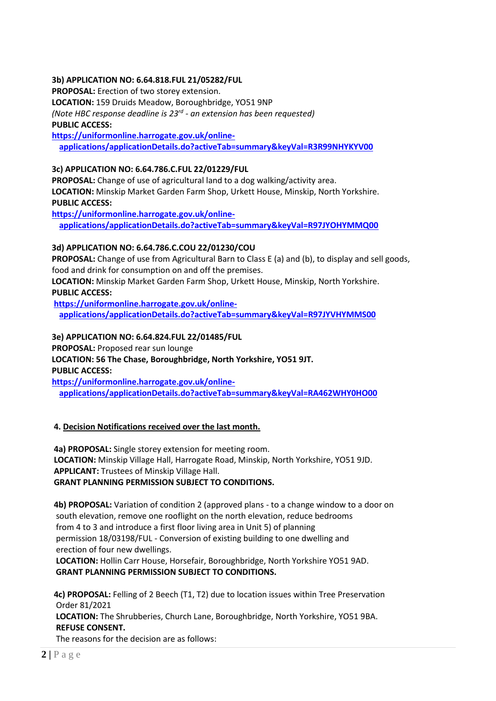### **3b) APPLICATION NO: 6.64.818.FUL 21/05282/FUL**

 **PROPOSAL:** Erection of two storey extension.  **LOCATION:** 159 Druids Meadow, Boroughbridge, YO51 9NP *(Note HBC response deadline is 23rd - an extension has been requested)*   **PUBLIC ACCESS:**

 **[https://uniformonline.harrogate.gov.uk/online](https://uniformonline.harrogate.gov.uk/online-applications/applicationDetails.do?activeTab=summary&keyVal=R3R99NHYKYV00)[applications/applicationDetails.do?activeTab=summary&keyVal=R3R99NHYKYV00](https://uniformonline.harrogate.gov.uk/online-applications/applicationDetails.do?activeTab=summary&keyVal=R3R99NHYKYV00)**

#### **3c) APPLICATION NO: 6.64.786.C.FUL 22/01229/FUL**

 **PROPOSAL:** Change of use of agricultural land to a dog walking/activity area.  **LOCATION:** Minskip Market Garden Farm Shop, Urkett House, Minskip, North Yorkshire.  **PUBLIC ACCESS:**

 **[https://uniformonline.harrogate.gov.uk/online](https://uniformonline.harrogate.gov.uk/online-applications/applicationDetails.do?activeTab=summary&keyVal=R97JYOHYMMQ00)[applications/applicationDetails.do?activeTab=summary&keyVal=R97JYOHYMMQ00](https://uniformonline.harrogate.gov.uk/online-applications/applicationDetails.do?activeTab=summary&keyVal=R97JYOHYMMQ00)**

#### **3d) APPLICATION NO: 6.64.786.C.COU 22/01230/COU**

 **PROPOSAL:** Change of use from Agricultural Barn to Class E (a) and (b), to display and sell goods, food and drink for consumption on and off the premises.

 **LOCATION:** Minskip Market Garden Farm Shop, Urkett House, Minskip, North Yorkshire.  **PUBLIC ACCESS:**

 **[https://uniformonline.harrogate.gov.uk/online](https://uniformonline.harrogate.gov.uk/online-applications/applicationDetails.do?activeTab=summary&keyVal=R97JYVHYMMS00)[applications/applicationDetails.do?activeTab=summary&keyVal=R97JYVHYMMS00](https://uniformonline.harrogate.gov.uk/online-applications/applicationDetails.do?activeTab=summary&keyVal=R97JYVHYMMS00)**

 **3e) APPLICATION NO: 6.64.824.FUL 22/01485/FUL PROPOSAL:** Proposed rear sun lounge  **LOCATION: 56 The Chase, Boroughbridge, North Yorkshire, YO51 9JT. PUBLIC ACCESS: [https://uniformonline.harrogate.gov.uk/online-](https://uniformonline.harrogate.gov.uk/online-applications/applicationDetails.do?activeTab=summary&keyVal=RA462WHY0HO00)**

**[applications/applicationDetails.do?activeTab=summary&keyVal=RA462WHY0HO00](https://uniformonline.harrogate.gov.uk/online-applications/applicationDetails.do?activeTab=summary&keyVal=RA462WHY0HO00)**

### **4. Decision Notifications received over the last month.**

 **4a) PROPOSAL:** Single storey extension for meeting room.  **LOCATION:** Minskip Village Hall, Harrogate Road, Minskip, North Yorkshire, YO51 9JD.  **APPLICANT:** Trustees of Minskip Village Hall.  **GRANT PLANNING PERMISSION SUBJECT TO CONDITIONS.**

 **4b) PROPOSAL:** Variation of condition 2 (approved plans - to a change window to a door on south elevation, remove one rooflight on the north elevation, reduce bedrooms from 4 to 3 and introduce a first floor living area in Unit 5) of planning permission 18/03198/FUL - Conversion of existing building to one dwelling and erection of four new dwellings.  **LOCATION:** Hollin Carr House, Horsefair, Boroughbridge, North Yorkshire YO51 9AD.

 **GRANT PLANNING PERMISSION SUBJECT TO CONDITIONS.**

 **4c) PROPOSAL:** Felling of 2 Beech (T1, T2) due to location issues within Tree Preservation Order 81/2021  **LOCATION:** The Shrubberies, Church Lane, Boroughbridge, North Yorkshire, YO51 9BA.  **REFUSE CONSENT.** The reasons for the decision are as follows: